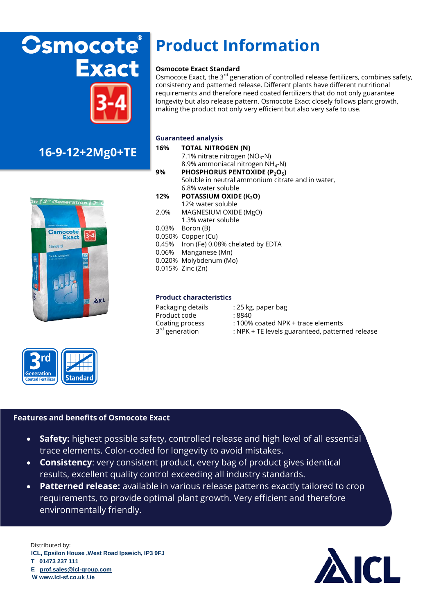# **Csmocote® Exact**



### **16-9-12+2Mg0+TE**





## **Product Information**

#### **Osmocote Exact Standard**

Osmocote Exact, the 3<sup>rd</sup> generation of controlled release fertilizers, combines safety, consistency and patterned release. Different plants have different nutritional requirements and therefore need coated fertilizers that do not only guarantee longevity but also release pattern. Osmocote Exact closely follows plant growth, making the product not only very efficient but also very safe to use.

#### **Guaranteed analysis**

- **16% TOTAL NITROGEN (N)** 7.1% nitrate nitrogen ( $NO<sub>3</sub>-N$ ) 8.9% ammoniacal nitrogen NH4-N) **9% PHOSPHORUS PENTOXIDE (P2O5)** Soluble in neutral ammonium citrate and in water, 6.8% water soluble
- 12% **POTASSIUM OXIDE (K<sub>2</sub>O)** 
	- 12% water soluble
- 2.0% MAGNESIUM OXIDE (MgO)
	- 1.3% water soluble
- 0.03% Boron (B)
- 0.050% Copper (Cu)
- 0.45% Iron (Fe) 0.08% chelated by EDTA
- 0.06% Manganese (Mn)
- 0.020% Molybdenum (Mo)
- 0.015% Zinc (Zn)

#### **Product characteristics**

| Packaging details          | : 25 kg |
|----------------------------|---------|
|                            |         |
| Product code               | : 8840  |
| Coating process            | : 100%  |
| 3 <sup>rd</sup> generation | $:$ NPK |

| Packaging details<br>Product code | : 25 kg, paper bag<br>:8840                     |
|-----------------------------------|-------------------------------------------------|
| Coating process                   | : 100% coated NPK + trace elements              |
| 3 <sup>rd</sup> generation        | : NPK + TE levels guaranteed, patterned release |

#### **Features and benefits of Osmocote Exact**

- **Safety:** highest possible safety, controlled release and high level of all essential trace elements. Color-coded for longevity to avoid mistakes.
- **Consistency**: very consistent product, every bag of product gives identical results, excellent quality control exceeding all industry standards.
- **Patterned release:** available in various release patterns exactly tailored to crop requirements, to provide optimal plant growth. Very efficient and therefore environmentally friendly.